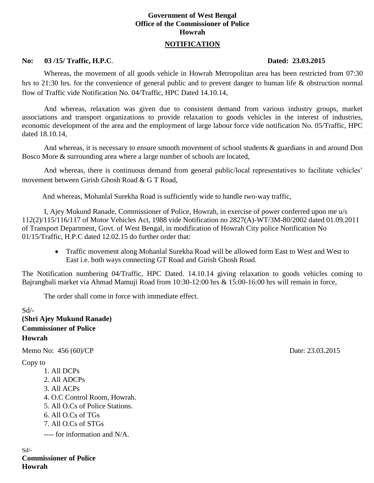# **Government of West Bengal Office of the Commissioner of Police Howrah**

## **NOTIFICATION**

### **No: 03 /15/ Traffic, H.P.C**. **Dated: 23.03.2015**

Whereas, the movement of all goods vehicle in Howrah Metropolitan area has been restricted from 07:30 hrs to 21:30 hrs. for the convenience of general public and to prevent danger to human life & obstruction normal flow of Traffic vide Notification No. 04/Traffic, HPC Dated 14.10.14,

And whereas, relaxation was given due to consistent demand from various industry groups, market associations and transport organizations to provide relaxation to goods vehicles in the interest of industries, economic development of the area and the employment of large labour force vide notification No. 05/Traffic, HPC dated 18.10.14,

And whereas, it is necessary to ensure smooth movement of school students & guardians in and around Don Bosco More & surrounding area where a large number of schools are located,

And whereas, there is continuous demand from general public/local representatives to facilitate vehicles' movement between Girish Ghosh Road & G T Road,

And whereas, Mohanlal Surekha Road is sufficiently wide to handle two-way traffic,

I, Ajey Mukund Ranade, Commissioner of Police, Howrah, in exercise of power conferred upon me u/s 112(2)/115/116/117 of Motor Vehicles Act, 1988 vide Notification no 2827(A)-WT/3M-80/2002 dated 01.09.2011 of Transport Department, Govt. of West Bengal, in modification of Howrah City police Notification No 01/15/Traffic, H.P.C dated 12.02.15 do further order that:

 Traffic movement along Mohanlal Surekha Road will be allowed form East to West and West to East i.e. both ways connecting GT Road and Girish Ghosh Road.

The Notification numbering 04/Traffic, HPC Dated. 14.10.14 giving relaxation to goods vehicles coming to Bajrangbali market via Ahmad Mamuji Road from 10:30-12:00 hrs & 15:00-16:00 hrs will remain in force,

The order shall come in force with immediate effect.

 $Sd$ <sup>-</sup> **(Shri Ajey Mukund Ranade) Commissioner of Police Howrah** Memo No: 456 (60)/CP Date: 23.03.2015 Copy to 1. All DCPs 2. All ADCPs 3. All ACPs 4. O.C Control Room, Howrah. 5. All O.Cs of Police Stations. 6. All O.Cs of TGs 7. All O.Cs of STGs ---- for information and N/A.

Sd/- **Commissioner of Police Howrah**